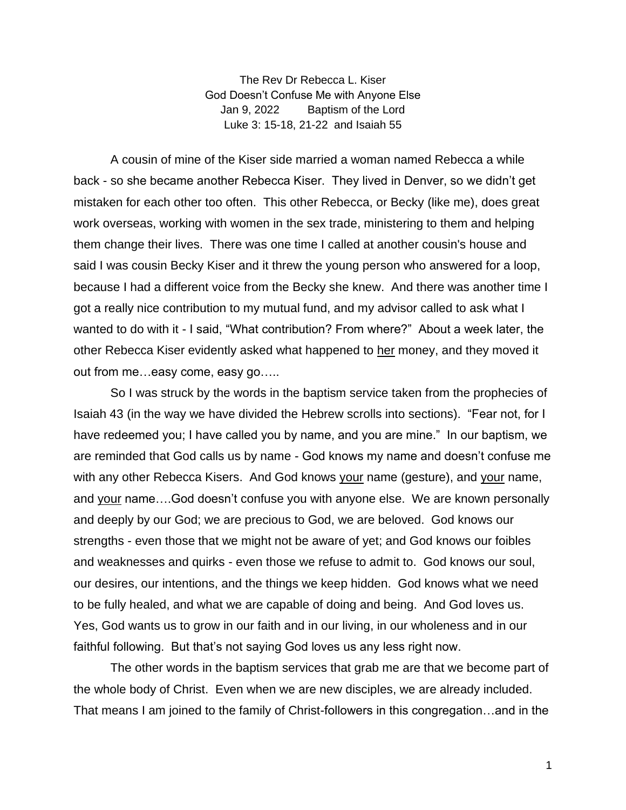The Rev Dr Rebecca L. Kiser God Doesn't Confuse Me with Anyone Else Jan 9, 2022 Baptism of the Lord Luke 3: 15-18, 21-22 and Isaiah 55

A cousin of mine of the Kiser side married a woman named Rebecca a while back - so she became another Rebecca Kiser. They lived in Denver, so we didn't get mistaken for each other too often. This other Rebecca, or Becky (like me), does great work overseas, working with women in the sex trade, ministering to them and helping them change their lives. There was one time I called at another cousin's house and said I was cousin Becky Kiser and it threw the young person who answered for a loop, because I had a different voice from the Becky she knew. And there was another time I got a really nice contribution to my mutual fund, and my advisor called to ask what I wanted to do with it - I said, "What contribution? From where?" About a week later, the other Rebecca Kiser evidently asked what happened to her money, and they moved it out from me…easy come, easy go…..

So I was struck by the words in the baptism service taken from the prophecies of Isaiah 43 (in the way we have divided the Hebrew scrolls into sections). "Fear not, for I have redeemed you; I have called you by name, and you are mine." In our baptism, we are reminded that God calls us by name - God knows my name and doesn't confuse me with any other Rebecca Kisers. And God knows your name (gesture), and your name, and your name….God doesn't confuse you with anyone else. We are known personally and deeply by our God; we are precious to God, we are beloved. God knows our strengths - even those that we might not be aware of yet; and God knows our foibles and weaknesses and quirks - even those we refuse to admit to. God knows our soul, our desires, our intentions, and the things we keep hidden. God knows what we need to be fully healed, and what we are capable of doing and being. And God loves us. Yes, God wants us to grow in our faith and in our living, in our wholeness and in our faithful following. But that's not saying God loves us any less right now.

The other words in the baptism services that grab me are that we become part of the whole body of Christ. Even when we are new disciples, we are already included. That means I am joined to the family of Christ-followers in this congregation…and in the

1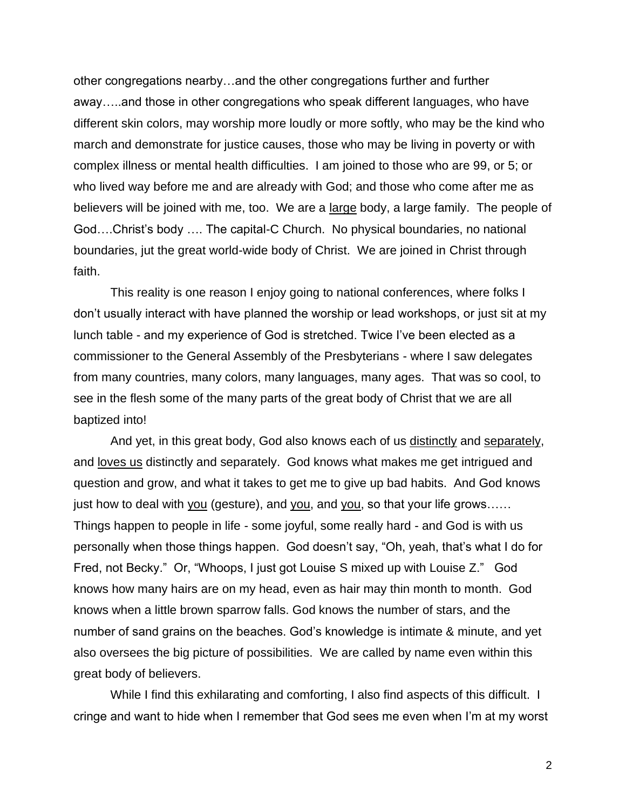other congregations nearby…and the other congregations further and further away…..and those in other congregations who speak different languages, who have different skin colors, may worship more loudly or more softly, who may be the kind who march and demonstrate for justice causes, those who may be living in poverty or with complex illness or mental health difficulties. I am joined to those who are 99, or 5; or who lived way before me and are already with God; and those who come after me as believers will be joined with me, too. We are a large body, a large family. The people of God….Christ's body …. The capital-C Church. No physical boundaries, no national boundaries, jut the great world-wide body of Christ. We are joined in Christ through faith.

This reality is one reason I enjoy going to national conferences, where folks I don't usually interact with have planned the worship or lead workshops, or just sit at my lunch table - and my experience of God is stretched. Twice I've been elected as a commissioner to the General Assembly of the Presbyterians - where I saw delegates from many countries, many colors, many languages, many ages. That was so cool, to see in the flesh some of the many parts of the great body of Christ that we are all baptized into!

And yet, in this great body, God also knows each of us distinctly and separately, and loves us distinctly and separately. God knows what makes me get intrigued and question and grow, and what it takes to get me to give up bad habits. And God knows just how to deal with you (gesture), and you, and you, so that your life grows...... Things happen to people in life - some joyful, some really hard - and God is with us personally when those things happen. God doesn't say, "Oh, yeah, that's what I do for Fred, not Becky." Or, "Whoops, I just got Louise S mixed up with Louise Z." God knows how many hairs are on my head, even as hair may thin month to month. God knows when a little brown sparrow falls. God knows the number of stars, and the number of sand grains on the beaches. God's knowledge is intimate & minute, and yet also oversees the big picture of possibilities. We are called by name even within this great body of believers.

While I find this exhilarating and comforting, I also find aspects of this difficult. I cringe and want to hide when I remember that God sees me even when I'm at my worst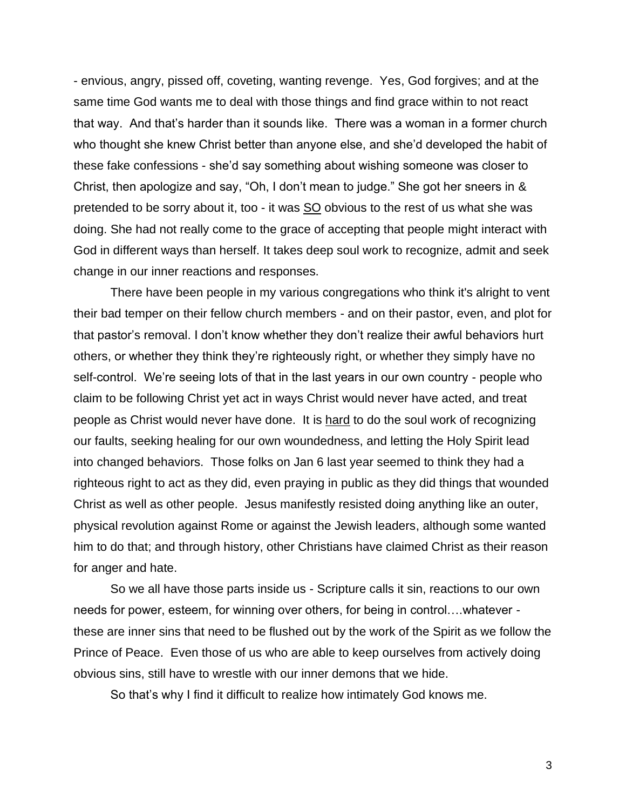- envious, angry, pissed off, coveting, wanting revenge. Yes, God forgives; and at the same time God wants me to deal with those things and find grace within to not react that way. And that's harder than it sounds like. There was a woman in a former church who thought she knew Christ better than anyone else, and she'd developed the habit of these fake confessions - she'd say something about wishing someone was closer to Christ, then apologize and say, "Oh, I don't mean to judge." She got her sneers in & pretended to be sorry about it, too - it was SO obvious to the rest of us what she was doing. She had not really come to the grace of accepting that people might interact with God in different ways than herself. It takes deep soul work to recognize, admit and seek change in our inner reactions and responses.

There have been people in my various congregations who think it's alright to vent their bad temper on their fellow church members - and on their pastor, even, and plot for that pastor's removal. I don't know whether they don't realize their awful behaviors hurt others, or whether they think they're righteously right, or whether they simply have no self-control. We're seeing lots of that in the last years in our own country - people who claim to be following Christ yet act in ways Christ would never have acted, and treat people as Christ would never have done. It is hard to do the soul work of recognizing our faults, seeking healing for our own woundedness, and letting the Holy Spirit lead into changed behaviors. Those folks on Jan 6 last year seemed to think they had a righteous right to act as they did, even praying in public as they did things that wounded Christ as well as other people. Jesus manifestly resisted doing anything like an outer, physical revolution against Rome or against the Jewish leaders, although some wanted him to do that; and through history, other Christians have claimed Christ as their reason for anger and hate.

So we all have those parts inside us - Scripture calls it sin, reactions to our own needs for power, esteem, for winning over others, for being in control….whatever these are inner sins that need to be flushed out by the work of the Spirit as we follow the Prince of Peace. Even those of us who are able to keep ourselves from actively doing obvious sins, still have to wrestle with our inner demons that we hide.

So that's why I find it difficult to realize how intimately God knows me.

3